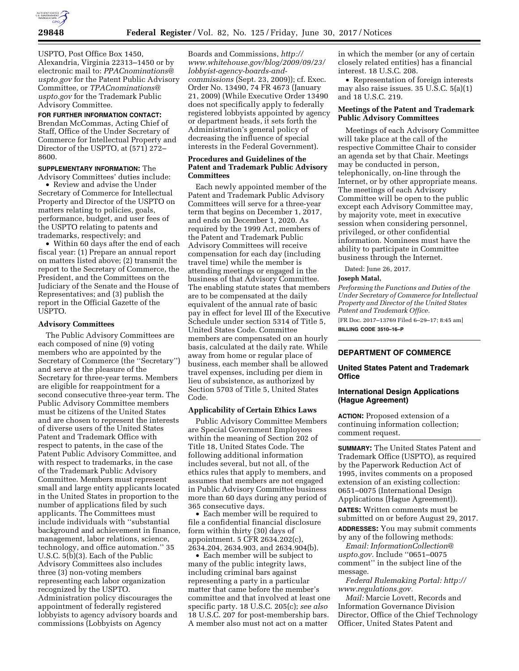

USPTO, Post Office Box 1450, Alexandria, Virginia 22313–1450 or by electronic mail to: *[PPACnominations@](mailto:PPACnominations@uspto.gov) [uspto.gov](mailto:PPACnominations@uspto.gov)* for the Patent Public Advisory Committee, or *[TPACnominations@](mailto:TPACnominations@uspto.gov) [uspto.gov](mailto:TPACnominations@uspto.gov)* for the Trademark Public Advisory Committee.

### **FOR FURTHER INFORMATION CONTACT:**

Brendan McCommas, Acting Chief of Staff, Office of the Under Secretary of Commerce for Intellectual Property and Director of the USPTO, at (571) 272– 8600.

#### **SUPPLEMENTARY INFORMATION:** The Advisory Committees' duties include:

• Review and advise the Under Secretary of Commerce for Intellectual Property and Director of the USPTO on matters relating to policies, goals, performance, budget, and user fees of the USPTO relating to patents and trademarks, respectively; and

• Within 60 days after the end of each fiscal year: (1) Prepare an annual report on matters listed above; (2) transmit the report to the Secretary of Commerce, the President, and the Committees on the Judiciary of the Senate and the House of Representatives; and (3) publish the report in the Official Gazette of the USPTO.

#### **Advisory Committees**

The Public Advisory Committees are each composed of nine (9) voting members who are appointed by the Secretary of Commerce (the ''Secretary'') and serve at the pleasure of the Secretary for three-year terms. Members are eligible for reappointment for a second consecutive three-year term. The Public Advisory Committee members must be citizens of the United States and are chosen to represent the interests of diverse users of the United States Patent and Trademark Office with respect to patents, in the case of the Patent Public Advisory Committee, and with respect to trademarks, in the case of the Trademark Public Advisory Committee. Members must represent small and large entity applicants located in the United States in proportion to the number of applications filed by such applicants. The Committees must include individuals with ''substantial background and achievement in finance, management, labor relations, science, technology, and office automation.'' 35 U.S.C. 5(b)(3). Each of the Public Advisory Committees also includes three (3) non-voting members representing each labor organization recognized by the USPTO. Administration policy discourages the appointment of federally registered lobbyists to agency advisory boards and commissions (Lobbyists on Agency

Boards and Commissions, *[http://](http://www.whitehouse.gov/blog/2009/09/23/lobbyist-agency-boards-and-commissions) [www.whitehouse.gov/blog/2009/09/23/](http://www.whitehouse.gov/blog/2009/09/23/lobbyist-agency-boards-and-commissions)  [lobbyist-agency-boards-and](http://www.whitehouse.gov/blog/2009/09/23/lobbyist-agency-boards-and-commissions)[commissions](http://www.whitehouse.gov/blog/2009/09/23/lobbyist-agency-boards-and-commissions)* (Sept. 23, 2009)); cf. Exec. Order No. 13490, 74 FR 4673 (January 21, 2009) (While Executive Order 13490 does not specifically apply to federally registered lobbyists appointed by agency or department heads, it sets forth the Administration's general policy of decreasing the influence of special interests in the Federal Government).

# **Procedures and Guidelines of the Patent and Trademark Public Advisory Committees**

Each newly appointed member of the Patent and Trademark Public Advisory Committees will serve for a three-year term that begins on December 1, 2017, and ends on December 1, 2020. As required by the 1999 Act, members of the Patent and Trademark Public Advisory Committees will receive compensation for each day (including travel time) while the member is attending meetings or engaged in the business of that Advisory Committee. The enabling statute states that members are to be compensated at the daily equivalent of the annual rate of basic pay in effect for level III of the Executive Schedule under section 5314 of Title 5, United States Code. Committee members are compensated on an hourly basis, calculated at the daily rate. While away from home or regular place of business, each member shall be allowed travel expenses, including per diem in lieu of subsistence, as authorized by Section 5703 of Title 5, United States Code.

## **Applicability of Certain Ethics Laws**

Public Advisory Committee Members are Special Government Employees within the meaning of Section 202 of Title 18, United States Code. The following additional information includes several, but not all, of the ethics rules that apply to members, and assumes that members are not engaged in Public Advisory Committee business more than 60 days during any period of 365 consecutive days.

• Each member will be required to file a confidential financial disclosure form within thirty (30) days of appointment. 5 CFR 2634.202(c), 2634.204, 2634.903, and 2634.904(b).

• Each member will be subject to many of the public integrity laws, including criminal bars against representing a party in a particular matter that came before the member's committee and that involved at least one specific party. 18 U.S.C. 205(c); *see also*  18 U.S.C. 207 for post-membership bars. A member also must not act on a matter

in which the member (or any of certain closely related entities) has a financial interest. 18 U.S.C. 208.

• Representation of foreign interests may also raise issues. 35 U.S.C. 5(a)(1) and 18 U.S.C. 219.

## **Meetings of the Patent and Trademark Public Advisory Committees**

Meetings of each Advisory Committee will take place at the call of the respective Committee Chair to consider an agenda set by that Chair. Meetings may be conducted in person, telephonically, on-line through the Internet, or by other appropriate means. The meetings of each Advisory Committee will be open to the public except each Advisory Committee may, by majority vote, meet in executive session when considering personnel, privileged, or other confidential information. Nominees must have the ability to participate in Committee business through the Internet.

Dated: June 26, 2017.

#### **Joseph Matal,**

*Performing the Functions and Duties of the Under Secretary of Commerce for Intellectual Property and Director of the United States Patent and Trademark Office.* 

[FR Doc. 2017–13769 Filed 6–29–17; 8:45 am] **BILLING CODE 3510–16–P** 

### **DEPARTMENT OF COMMERCE**

### **United States Patent and Trademark Office**

# **International Design Applications (Hague Agreement)**

**ACTION:** Proposed extension of a continuing information collection; comment request.

**SUMMARY:** The United States Patent and Trademark Office (USPTO), as required by the Paperwork Reduction Act of 1995, invites comments on a proposed extension of an existing collection: 0651–0075 (International Design Applications (Hague Agreement)).

**DATES:** Written comments must be submitted on or before August 29, 2017.

**ADDRESSES:** You may submit comments by any of the following methods:

*Email: [InformationCollection@](mailto:InformationCollection@uspto.gov) [uspto.gov.](mailto:InformationCollection@uspto.gov)* Include ''0651–0075 comment'' in the subject line of the message.

*Federal Rulemaking Portal: [http://](http://www.regulations.gov) [www.regulations.gov.](http://www.regulations.gov)* 

*Mail:* Marcie Lovett, Records and Information Governance Division Director, Office of the Chief Technology Officer, United States Patent and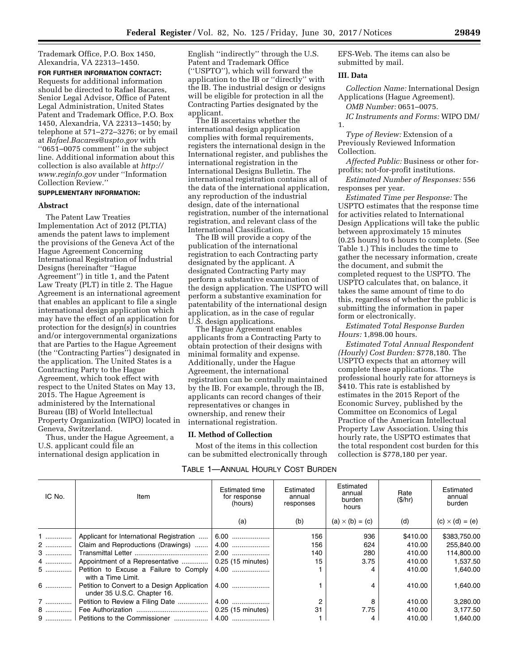Trademark Office, P.O. Box 1450, Alexandria, VA 22313–1450.

**FOR FURTHER INFORMATION CONTACT:**  Requests for additional information should be directed to Rafael Bacares, Senior Legal Advisor, Office of Patent Legal Administration, United States Patent and Trademark Office, P.O. Box 1450, Alexandria, VA 22313–1450; by telephone at 571–272–3276; or by email at *[Rafael.Bacares@uspto.gov](mailto:Rafael.Bacares@uspto.gov)* with ''0651–0075 comment'' in the subject line. Additional information about this collection is also available at *[http://](http://www.reginfo.gov) [www.reginfo.gov](http://www.reginfo.gov)* under ''Information Collection Review.''

### **SUPPLEMENTARY INFORMATION:**

### **Abstract**

The Patent Law Treaties Implementation Act of 2012 (PLTIA) amends the patent laws to implement the provisions of the Geneva Act of the Hague Agreement Concerning International Registration of Industrial Designs (hereinafter ''Hague Agreement'') in title 1, and the Patent Law Treaty (PLT) in title 2. The Hague Agreement is an international agreement that enables an applicant to file a single international design application which may have the effect of an application for protection for the design(s) in countries and/or intergovernmental organizations that are Parties to the Hague Agreement (the ''Contracting Parties'') designated in the application. The United States is a Contracting Party to the Hague Agreement, which took effect with respect to the United States on May 13, 2015. The Hague Agreement is administered by the International Bureau (IB) of World Intellectual Property Organization (WIPO) located in Geneva, Switzerland.

Thus, under the Hague Agreement, a U.S. applicant could file an international design application in

English ''indirectly'' through the U.S. Patent and Trademark Office (''USPTO''), which will forward the application to the IB or ''directly'' with the IB. The industrial design or designs will be eligible for protection in all the Contracting Parties designated by the applicant.

The IB ascertains whether the international design application complies with formal requirements, registers the international design in the International register, and publishes the international registration in the International Designs Bulletin. The international registration contains all of the data of the international application, any reproduction of the industrial design, date of the international registration, number of the international registration, and relevant class of the International Classification.

The IB will provide a copy of the publication of the international registration to each Contracting party designated by the applicant. A designated Contracting Party may perform a substantive examination of the design application. The USPTO will perform a substantive examination for patentability of the international design application, as in the case of regular U.S. design applications.

The Hague Agreement enables applicants from a Contracting Party to obtain protection of their designs with minimal formality and expense. Additionally, under the Hague Agreement, the international registration can be centrally maintained by the IB. For example, through the IB, applicants can record changes of their representatives or changes in ownership, and renew their international registration.

# **II. Method of Collection**

Most of the items in this collection can be submitted electronically through

TABLE 1—ANNUAL HOURLY COST BURDEN

EFS-Web. The items can also be submitted by mail.

### **III. Data**

*Collection Name:* International Design Applications (Hague Agreement).

*OMB Number:* 0651–0075.

*IC Instruments and Forms:* WIPO DM/ 1.

*Type of Review:* Extension of a Previously Reviewed Information Collection.

*Affected Public:* Business or other forprofits; not-for-profit institutions.

*Estimated Number of Responses:* 556 responses per year.

*Estimated Time per Response:* The USPTO estimates that the response time for activities related to International Design Applications will take the public between approximately 15 minutes (0.25 hours) to 6 hours to complete. (See Table 1.) This includes the time to gather the necessary information, create the document, and submit the completed request to the USPTO. The USPTO calculates that, on balance, it takes the same amount of time to do this, regardless of whether the public is submitting the information in paper form or electronically.

*Estimated Total Response Burden Hours:* 1,898.00 hours.

*Estimated Total Annual Respondent (Hourly) Cost Burden:* \$778,180. The USPTO expects that an attorney will complete these applications. The professional hourly rate for attorneys is \$410. This rate is established by estimates in the 2015 Report of the Economic Survey, published by the Committee on Economics of Legal Practice of the American Intellectual Property Law Association. Using this hourly rate, the USPTO estimates that the total respondent cost burden for this collection is \$778,180 per year.

| IC No. | Item                                                                       | Estimated time<br>for response<br>(hours) | Estimated<br>annual<br>responses | Estimated<br>annual<br>burden<br>hours | Rate<br>(S/hr) | Estimated<br>annual<br>burden |
|--------|----------------------------------------------------------------------------|-------------------------------------------|----------------------------------|----------------------------------------|----------------|-------------------------------|
|        |                                                                            | (a)                                       | (b)                              | $(a) \times (b) = (c)$                 | (d)            | $(c) \times (d) = (e)$        |
| 1      | Applicant for International Registration                                   | 6.00                                      | 156                              | 936                                    | \$410.00       | \$383,750.00                  |
| 2      | Claim and Reproductions (Drawings)                                         | $4.00$                                    | 156                              | 624                                    | 410.00         | 255,840.00                    |
| 3      |                                                                            | $2.00$                                    | 140                              | 280                                    | 410.00         | 114.800.00                    |
| 4      | Appointment of a Representative                                            | 0.25 (15 minutes)                         | 15                               | 3.75                                   | 410.00         | 1.537.50                      |
| 5      | Petition to Excuse a Failure to Comply<br>with a Time Limit.               | $4.00$                                    |                                  | 4                                      | 410.00         | 1,640.00                      |
| 6      | Petition to Convert to a Design Application<br>under 35 U.S.C. Chapter 16. | 4.00                                      |                                  | 4                                      | 410.00         | 1,640.00                      |
| 7      | Petition to Review a Filing Date                                           | $4.00$                                    | 2                                | 8                                      | 410.00         | 3,280.00                      |
| 8      |                                                                            | 0.25 (15 minutes)                         | 31                               | 7.75                                   | 410.00         | 3.177.50                      |
|        |                                                                            |                                           |                                  | 4                                      | 410.00         | 1.640.00                      |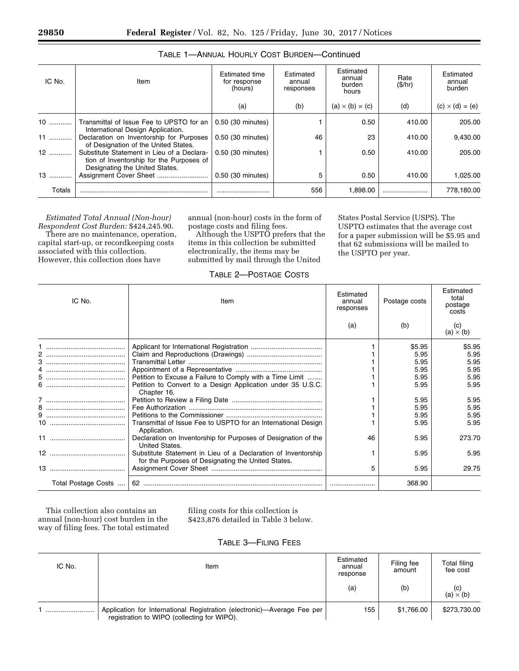| IC No. | Item                                                                                                                     | <b>Estimated time</b><br>for response<br>(hours) | Estimated<br>annual<br>responses | Estimated<br>annual<br>burden<br>hours | Rate<br>(S/hr) | Estimated<br>annual<br>burden |
|--------|--------------------------------------------------------------------------------------------------------------------------|--------------------------------------------------|----------------------------------|----------------------------------------|----------------|-------------------------------|
|        |                                                                                                                          | (a)                                              | (b)                              | $(a) \times (b) = (c)$                 | (d)            | $(c) \times (d) = (e)$        |
| 10     | Transmittal of Issue Fee to UPSTO for an<br>International Design Application.                                            | 0.50 (30 minutes)                                |                                  | 0.50                                   | 410.00         | 205.00                        |
| $11$   | Declaration on Inventorship for Purposes<br>of Designation of the United States.                                         | 0.50 (30 minutes)                                | 46                               | 23                                     | 410.00         | 9,430.00                      |
|        | Substitute Statement in Lieu of a Declara-<br>tion of Inventorship for the Purposes of<br>Designating the United States. | 0.50 (30 minutes)                                |                                  | 0.50                                   | 410.00         | 205.00                        |
| $13$   | Assignment Cover Sheet                                                                                                   | 0.50 (30 minutes)                                | 5                                | 0.50                                   | 410.00         | 1,025.00                      |
| Totals |                                                                                                                          |                                                  | 556                              | 1,898.00                               |                | 778,180.00                    |

# TABLE 1—ANNUAL HOURLY COST BURDEN—Continued

*Estimated Total Annual (Non-hour) Respondent Cost Burden:* \$424,245.90. There are no maintenance, operation, capital start-up, or recordkeeping costs associated with this collection. However, this collection does have

annual (non-hour) costs in the form of postage costs and filing fees.

Although the USPTO prefers that the items in this collection be submitted electronically, the items may be submitted by mail through the United

States Postal Service (USPS). The USPTO estimates that the average cost for a paper submission will be \$5.95 and that 62 submissions will be mailed to the USPTO per year.

| ∩ −ונ |  | 'OSTAGE COSTS |  |
|-------|--|---------------|--|
|       |  |               |  |

| IC No. | Item                                                                                                                | Estimated<br>annual<br>responses | Postage costs | Estimated<br>total<br>postage<br>costs |
|--------|---------------------------------------------------------------------------------------------------------------------|----------------------------------|---------------|----------------------------------------|
|        |                                                                                                                     | (a)                              | (b)           | (c)<br>$(a) \times (b)$                |
|        |                                                                                                                     |                                  | \$5.95        | \$5.95                                 |
|        |                                                                                                                     |                                  | 5.95          | 5.95                                   |
|        |                                                                                                                     |                                  | 5.95<br>5.95  | 5.95<br>5.95                           |
|        | Petition to Excuse a Failure to Comply with a Time Limit                                                            |                                  | 5.95          | 5.95                                   |
|        | Petition to Convert to a Design Application under 35 U.S.C.                                                         |                                  | 5.95          | 5.95                                   |
|        | Chapter 16.                                                                                                         |                                  |               |                                        |
|        |                                                                                                                     |                                  | 5.95          | 5.95                                   |
|        |                                                                                                                     |                                  | 5.95          | 5.95                                   |
|        |                                                                                                                     |                                  | 5.95          | 5.95                                   |
|        | Transmittal of Issue Fee to USPTO for an International Design<br>Application.                                       |                                  | 5.95          | 5.95                                   |
|        | Declaration on Inventorship for Purposes of Designation of the<br>United States.                                    | 46                               | 5.95          | 273.70                                 |
|        | Substitute Statement in Lieu of a Declaration of Inventorship<br>for the Purposes of Designating the United States. |                                  | 5.95          | 5.95                                   |
|        |                                                                                                                     | 5                                | 5.95          | 29.75                                  |
|        |                                                                                                                     |                                  | 368.90        |                                        |

This collection also contains an annual (non-hour) cost burden in the way of filing fees. The total estimated

filing costs for this collection is \$423,876 detailed in Table 3 below.

# TABLE 3—FILING FEES

| IC No. | Item                                                                                                                   | Estimated<br>annual<br>response | Filing fee<br>amount | Total filing<br>fee cost |
|--------|------------------------------------------------------------------------------------------------------------------------|---------------------------------|----------------------|--------------------------|
|        |                                                                                                                        | (a)                             | (b)                  | (C)<br>(a) $\times$ (b)  |
|        | Application for International Registration (electronic)-Average Fee per<br>registration to WIPO (collecting for WIPO). | 155                             | \$1,766.00           | \$273,730.00             |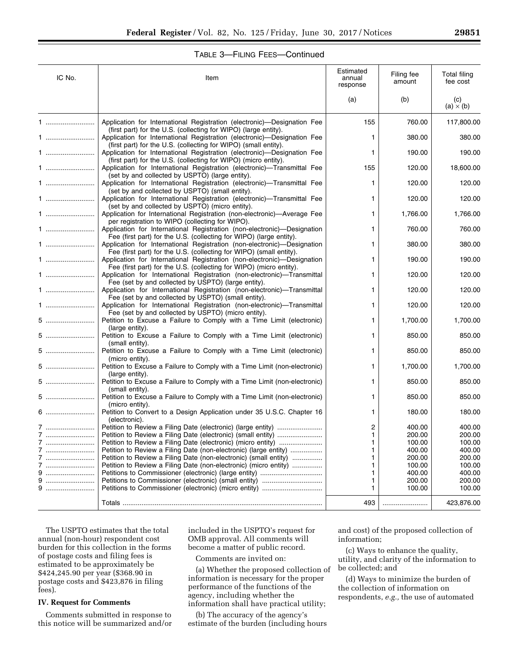# TABLE 3—FILING FEES—Continued

| IC No. | Item                                                                                                                                           | Estimated<br>annual<br>response | Filing fee<br>amount | Total filing<br>fee cost |
|--------|------------------------------------------------------------------------------------------------------------------------------------------------|---------------------------------|----------------------|--------------------------|
|        |                                                                                                                                                | (a)                             | (b)                  | (c)<br>$(a) \times (b)$  |
| 1      | Application for International Registration (electronic)—Designation Fee<br>(first part) for the U.S. (collecting for WIPO) (large entity).     | 155                             | 760.00               | 117,800.00               |
| 1      | Application for International Registration (electronic)-Designation Fee<br>(first part) for the U.S. (collecting for WIPO) (small entity).     | 1                               | 380.00               | 380.00                   |
| 1      | Application for International Registration (electronic)-Designation Fee<br>(first part) for the U.S. (collecting for WIPO) (micro entity).     | 1                               | 190.00               | 190.00                   |
| 1      | Application for International Registration (electronic)—Transmittal Fee<br>(set by and collected by USPTO) (large entity).                     | 155                             | 120.00               | 18,600.00                |
| 1      | Application for International Registration (electronic)-Transmittal Fee<br>(set by and collected by USPTO) (small entity).                     | 1                               | 120.00               | 120.00                   |
| 1      | Application for International Registration (electronic)-Transmittal Fee<br>(set by and collected by USPTO) (micro entity).                     | 1                               | 120.00               | 120.00                   |
| 1      | Application for International Registration (non-electronic)-Average Fee<br>per registration to WIPO (collecting for WIPO).                     | 1                               | 1,766.00             | 1,766.00                 |
| 1      | Application for International Registration (non-electronic)—Designation<br>Fee (first part) for the U.S. (collecting for WIPO) (large entity). | 1                               | 760.00               | 760.00                   |
| 1      | Application for International Registration (non-electronic)—Designation<br>Fee (first part) for the U.S. (collecting for WIPO) (small entity). | 1                               | 380.00               | 380.00                   |
| 1      | Application for International Registration (non-electronic)—Designation<br>Fee (first part) for the U.S. (collecting for WIPO) (micro entity). | 1                               | 190.00               | 190.00                   |
| 1      | Application for International Registration (non-electronic)-Transmittal<br>Fee (set by and collected by USPTO) (large entity).                 | 1                               | 120.00               | 120.00                   |
| 1      | Application for International Registration (non-electronic)—Transmittal<br>Fee (set by and collected by USPTO) (small entity).                 | 1                               | 120.00               | 120.00                   |
| 1      | Application for International Registration (non-electronic)—Transmittal<br>Fee (set by and collected by USPTO) (micro entity).                 | 1                               | 120.00               | 120.00                   |
| 5      | Petition to Excuse a Failure to Comply with a Time Limit (electronic)<br>(large entity).                                                       | 1                               | 1,700.00             | 1,700.00                 |
| 5      | Petition to Excuse a Failure to Comply with a Time Limit (electronic)<br>(small entity).                                                       | 1                               | 850.00               | 850.00                   |
| 5      | Petition to Excuse a Failure to Comply with a Time Limit (electronic)<br>(micro entity).                                                       | 1                               | 850.00               | 850.00                   |
| 5      | Petition to Excuse a Failure to Comply with a Time Limit (non-electronic)<br>(large entity).                                                   | 1                               | 1,700.00             | 1,700.00                 |
| 5      | Petition to Excuse a Failure to Comply with a Time Limit (non-electronic)<br>(small entity).                                                   | 1                               | 850.00               | 850.00                   |
| 5      | Petition to Excuse a Failure to Comply with a Time Limit (non-electronic)<br>(micro entity).                                                   | 1                               | 850.00               | 850.00                   |
| 6      | Petition to Convert to a Design Application under 35 U.S.C. Chapter 16<br>(electronic).                                                        | 1                               | 180.00               | 180.00                   |
| 7      | Petition to Review a Filing Date (electronic) (large entity)                                                                                   | 2                               | 400.00               | 400.00                   |
| 7      |                                                                                                                                                | 1                               | 200.00               | 200.00                   |
| 7      |                                                                                                                                                | 1                               | 100.00               | 100.00                   |
| 7      | Petition to Review a Filing Date (non-electronic) (large entity)                                                                               | 1                               | 400.00               | 400.00                   |
|        | Petition to Review a Filing Date (non-electronic) (small entity)                                                                               | 1                               | 200.00               | 200.00                   |
|        | Petition to Review a Filing Date (non-electronic) (micro entity)                                                                               | 1                               | 100.00               | 100.00                   |
| 9      |                                                                                                                                                | 1                               | 400.00               | 400.00                   |
| 9      |                                                                                                                                                | 1                               | 200.00               | 200.00                   |
| 9      |                                                                                                                                                | 1                               | 100.00               | 100.00                   |
|        |                                                                                                                                                | 493                             |                      | 423,876.00               |

The USPTO estimates that the total annual (non-hour) respondent cost burden for this collection in the forms of postage costs and filing fees is estimated to be approximately be \$424,245.90 per year (\$368.90 in postage costs and \$423,876 in filing fees).

#### **IV. Request for Comments**

Comments submitted in response to this notice will be summarized and/or included in the USPTO's request for OMB approval. All comments will become a matter of public record.

Comments are invited on:

(a) Whether the proposed collection of information is necessary for the proper performance of the functions of the agency, including whether the information shall have practical utility;

(b) The accuracy of the agency's estimate of the burden (including hours and cost) of the proposed collection of information;

(c) Ways to enhance the quality, utility, and clarity of the information to be collected; and

(d) Ways to minimize the burden of the collection of information on respondents, *e.g.,* the use of automated